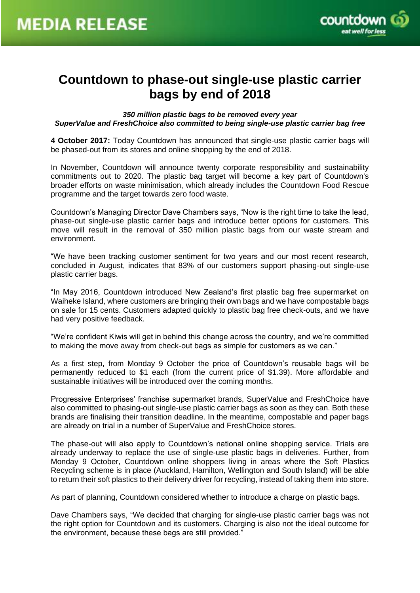

# **Countdown to phase-out single-use plastic carrier bags by end of 2018**

*350 million plastic bags to be removed every year SuperValue and FreshChoice also committed to being single-use plastic carrier bag free*

**4 October 2017:** Today Countdown has announced that single-use plastic carrier bags will be phased-out from its stores and online shopping by the end of 2018.

In November, Countdown will announce twenty corporate responsibility and sustainability commitments out to 2020. The plastic bag target will become a key part of Countdown's broader efforts on waste minimisation, which already includes the Countdown Food Rescue programme and the target towards zero food waste.

Countdown's Managing Director Dave Chambers says, "Now is the right time to take the lead, phase-out single-use plastic carrier bags and introduce better options for customers. This move will result in the removal of 350 million plastic bags from our waste stream and environment.

"We have been tracking customer sentiment for two years and our most recent research, concluded in August, indicates that 83% of our customers support phasing-out single-use plastic carrier bags.

"In May 2016, Countdown introduced New Zealand's first plastic bag free supermarket on Waiheke Island, where customers are bringing their own bags and we have compostable bags on sale for 15 cents. Customers adapted quickly to plastic bag free check-outs, and we have had very positive feedback.

"We're confident Kiwis will get in behind this change across the country, and we're committed to making the move away from check-out bags as simple for customers as we can."

As a first step, from Monday 9 October the price of Countdown's reusable bags will be permanently reduced to \$1 each (from the current price of \$1.39). More affordable and sustainable initiatives will be introduced over the coming months.

Progressive Enterprises' franchise supermarket brands, SuperValue and FreshChoice have also committed to phasing-out single-use plastic carrier bags as soon as they can. Both these brands are finalising their transition deadline. In the meantime, compostable and paper bags are already on trial in a number of SuperValue and FreshChoice stores.

The phase-out will also apply to Countdown's national online shopping service. Trials are already underway to replace the use of single-use plastic bags in deliveries. Further, from Monday 9 October, Countdown online shoppers living in areas where the Soft Plastics Recycling scheme is in place (Auckland, Hamilton, Wellington and South Island) will be able to return their soft plastics to their delivery driver for recycling, instead of taking them into store.

As part of planning, Countdown considered whether to introduce a charge on plastic bags.

Dave Chambers says, "We decided that charging for single-use plastic carrier bags was not the right option for Countdown and its customers. Charging is also not the ideal outcome for the environment, because these bags are still provided."